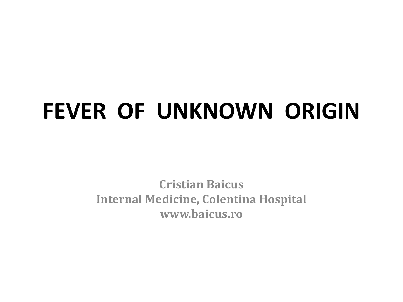## **FEVER OF UNKNOWN ORIGIN**

**Cristian Baicus Internal Medicine, Colentina Hospital www.baicus.ro**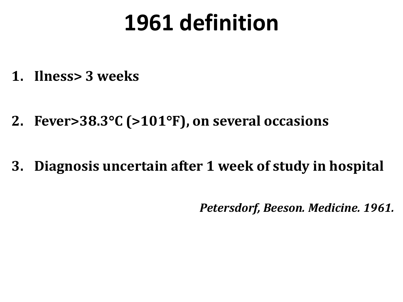### **1961 definition**

- **1. Ilness> 3 weeks**
- **2. Fever>38.3C (>101F), on several occasions**
- **3. Diagnosis uncertain after 1 week of study in hospital**

*Petersdorf, Beeson. Medicine. 1961.*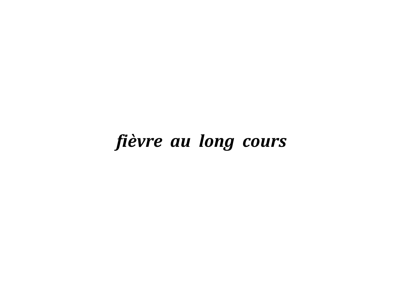### *fièvre au long cours*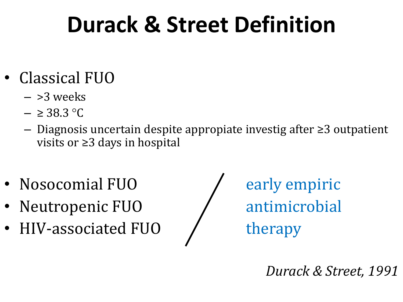# **Durack & Street Definition**

- Classical FUO
	- $-$  >3 weeks
	- $-$  ≥ 38.3 °C
	- Diagnosis uncertain despite appropiate investig after ≥3 outpatient visits or ≥3 days in hospital
- Nosocomial FUO  $\overline{ }$  early empiric
- Neutropenic FUO / antimicrobial
- HIV-associated FUO / therapy

*Durack & Street, 1991*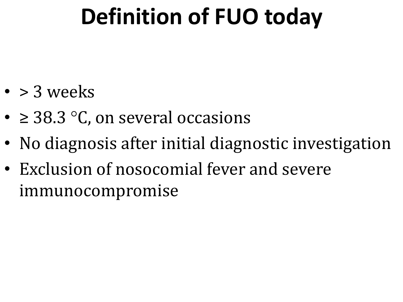# **Definition of FUO today**

- $\cdot$  > 3 weeks
- $\geq$  38.3 °C, on several occasions
- No diagnosis after initial diagnostic investigation
- Exclusion of nosocomial fever and severe immunocompromise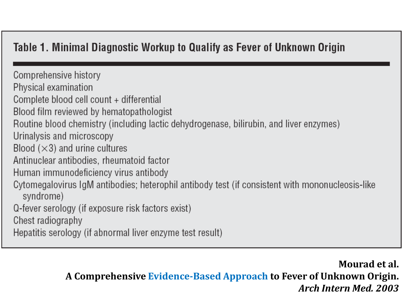### Table 1. Minimal Diagnostic Workup to Qualify as Fever of Unknown Origin

Comprehensive history Physical examination Complete blood cell count + differential Blood film reviewed by hematopathologist Routine blood chemistry (including lactic dehydrogenase, bilirubin, and liver enzymes) Urinalysis and microscopy Blood  $(\times 3)$  and urine cultures Antinuclear antibodies, rheumatoid factor Human immunodeficiency virus antibody Cytomegalovirus IgM antibodies; heterophil antibody test (if consistent with mononucleosis-like syndrome) Q-fever serology (if exposure risk factors exist) Chest radiography Hepatitis serology (if abnormal liver enzyme test result)

> **Mourad et al. A Comprehensive Evidence-Based Approach to Fever of Unknown Origin.** *Arch Intern Med. 2003*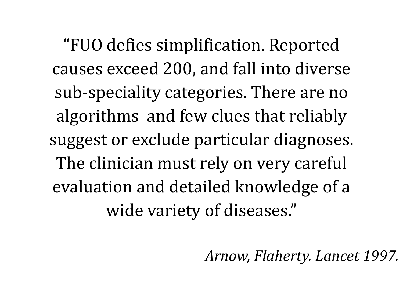"FUO defies simplification. Reported causes exceed 200, and fall into diverse sub-speciality categories. There are no algorithms and few clues that reliably suggest or exclude particular diagnoses. The clinician must rely on very careful evaluation and detailed knowledge of a wide variety of diseases."

*Arnow, Flaherty. Lancet 1997.*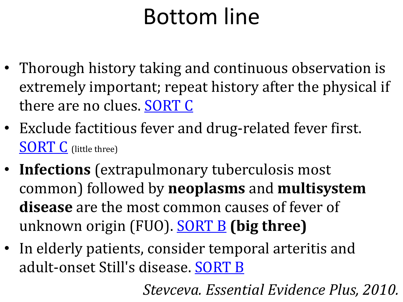## Bottom line

- Thorough history taking and continuous observation is extremely important; repeat history after the physical if there are no clues. [SORT C](http://www.essentialevidenceplus.com/product/ebm_loe.cfm)
- Exclude factitious fever and drug-related fever first. **[SORT C](http://www.essentialevidenceplus.com/product/ebm_loe.cfm)** (little three)
- **Infections** (extrapulmonary tuberculosis most common) followed by **neoplasms** and **multisystem disease** are the most common causes of fever of unknown origin (FUO). [SORT B](http://www.essentialevidenceplus.com/product/ebm_loe.cfm) **(big three)**
- In elderly patients, consider temporal arteritis and adult-onset Still's disease. [SORT B](http://www.essentialevidenceplus.com/product/ebm_loe.cfm)

*Stevceva. Essential Evidence Plus, 2010.*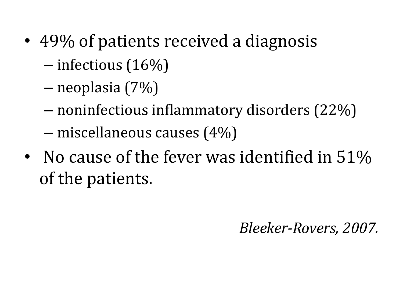- 49% of patients received a diagnosis
	- infectious (16%)
	- neoplasia (7%)
	- noninfectious inflammatory disorders (22%)
	- miscellaneous causes (4%)
- No cause of the fever was identified in 51% of the patients.

*Bleeker-Rovers, 2007.*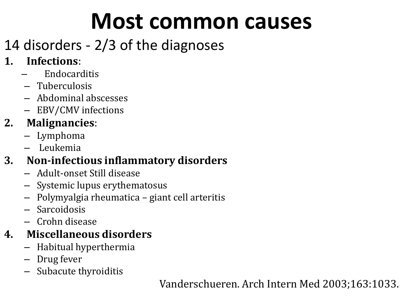### **Most common causes**

### 14 disorders - 2/3 of the diagnoses

### **1. Infections**:

- Endocarditis
- Tuberculosis
- Abdominal abscesses
- EBV/CMV infections

### **2. Malignancies**:

- Lymphoma
- Leukemia

### **3. Non-infectious inflammatory disorders**

- Adult-onset Still disease
- Systemic lupus erythematosus
- Polymyalgia rheumatica giant cell arteritis
- Sarcoidosis
- Crohn disease

### **4. Miscellaneous disorders**

- Habitual hyperthermia
- Drug fever
- Subacute thyroiditis

Vanderschueren. Arch Intern Med 2003;163:1033.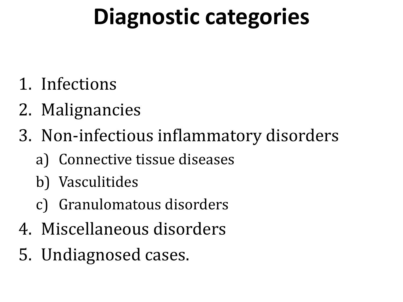## **Diagnostic categories**

- 1. Infections
- 2. Malignancies
- 3. Non-infectious inflammatory disorders
	- a) Connective tissue diseases
	- b) Vasculitides
	- c) Granulomatous disorders
- 4. Miscellaneous disorders
- 5. Undiagnosed cases.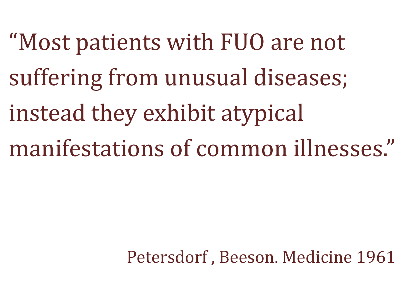"Most patients with FUO are not suffering from unusual diseases; instead they exhibit atypical manifestations of common illnesses."

Petersdorf , Beeson. Medicine 1961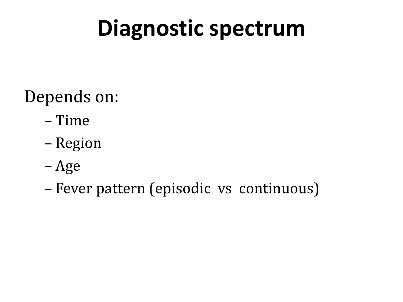## **Diagnostic spectrum**

### Depends on:

- Time
- Region
- Age
- Fever pattern (episodic vs continuous)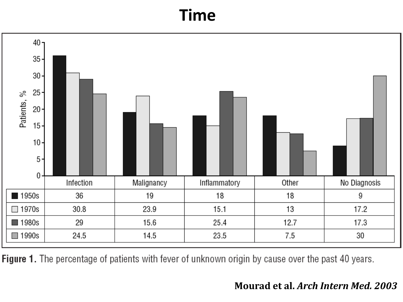### **Time**



Figure 1. The percentage of patients with fever of unknown origin by cause over the past 40 years.

#### **Mourad et al.** *Arch Intern Med. 2003*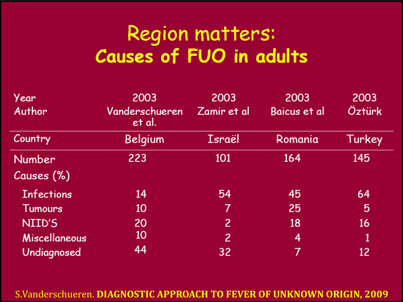### **Region matters: Causes of FUO in adults**

| Year              | 2003                     | 2003        | 2003         | 2003   |
|-------------------|--------------------------|-------------|--------------|--------|
| Author            | Vanderschueren<br>et al. | Zamir et al | Baicus et al | Öztürk |
| Country           | Belgium                  | Israël      | Romania      | Turkey |
| <b>Number</b>     | 223                      | 101         | 164          | 145    |
| Causes (%)        |                          |             |              |        |
| <b>Infections</b> | 14                       | 54          | 45           | 64     |
| <b>Tumours</b>    | 10                       | 7           | 25           | 5      |
| NIID'S            | 20                       | 2           | 18           | 16     |
| Miscellaneous     | 10                       | 2           | 4            | 1      |
| Undiagnosed       | 44                       | 32          | 7            | 12     |

S.Vanderschueren. **DIAGNOSTIC APPROACH TO FEVER OF UNKNOWN ORIGIN, 2009**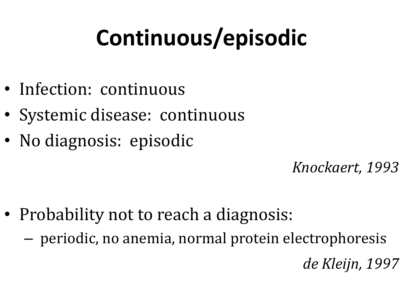# **Continuous/episodic**

- Infection: continuous
- Systemic disease: continuous
- No diagnosis: episodic

*Knockaert, 1993*

- Probability not to reach a diagnosis:
	- periodic, no anemia, normal protein electrophoresis

*de Kleijn, 1997*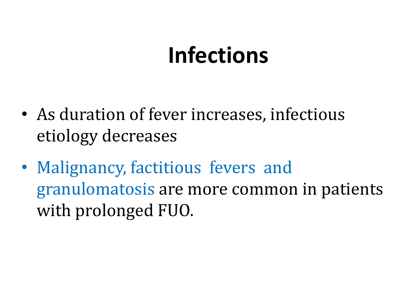### **Infections**

- As duration of fever increases, infectious etiology decreases
- Malignancy, factitious fevers and granulomatosis are more common in patients with prolonged FUO.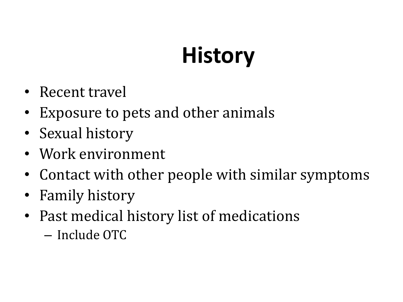# **History**

- Recent travel
- Exposure to pets and other animals
- Sexual history
- Work environment
- Contact with other people with similar symptoms
- Family history
- Past medical history list of medications
	- Include OTC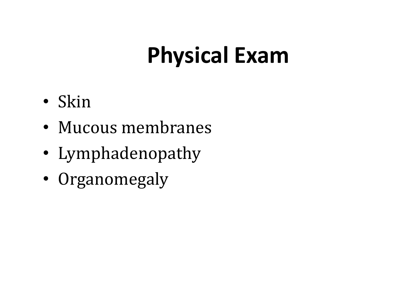# **Physical Exam**

- Skin
- Mucous membranes
- Lymphadenopathy
- Organomegaly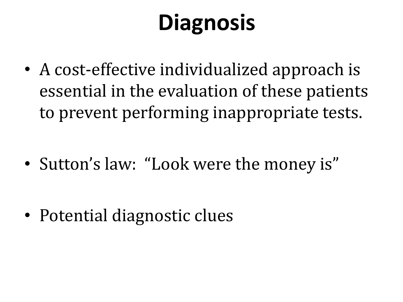# **Diagnosis**

• A cost-effective individualized approach is essential in the evaluation of these patients to prevent performing inappropriate tests.

• Sutton's law: "Look were the money is"

• Potential diagnostic clues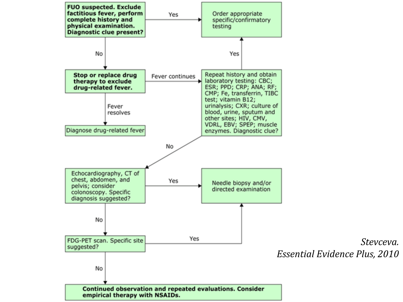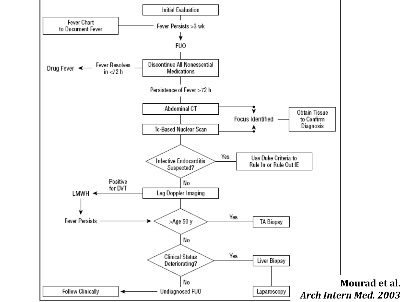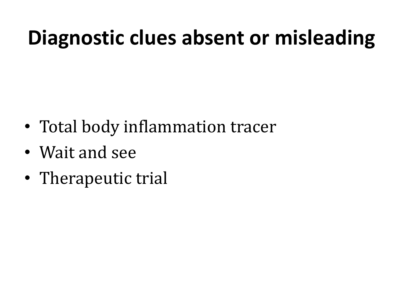### **Diagnostic clues absent or misleading**

- Total body inflammation tracer
- Wait and see
- Therapeutic trial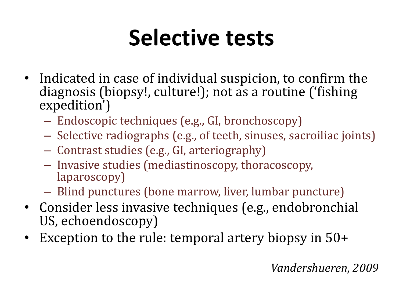## **Selective tests**

- Indicated in case of individual suspicion, to confirm the diagnosis (biopsy!, culture!); not as a routine ('fishing expedition')
	- Endoscopic techniques (e.g., GI, bronchoscopy)
	- Selective radiographs (e.g., of teeth, sinuses, sacroiliac joints)
	- Contrast studies (e.g., GI, arteriography)
	- Invasive studies (mediastinoscopy, thoracoscopy, laparoscopy)
	- Blind punctures (bone marrow, liver, lumbar puncture)
- Consider less invasive techniques (e.g., endobronchial US, echoendoscopy)
- Exception to the rule: temporal artery biopsy in 50+

### *Vandershueren, 2009*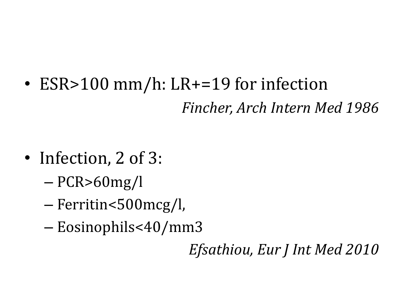• ESR>100 mm/h: LR+=19 for infection *Fincher, Arch Intern Med 1986*

- Infection, 2 of 3:
	- PCR>60mg/l
	- Ferritin<500mcg/l,
	- Eosinophils<40/mm3

*Efsathiou, Eur J Int Med 2010*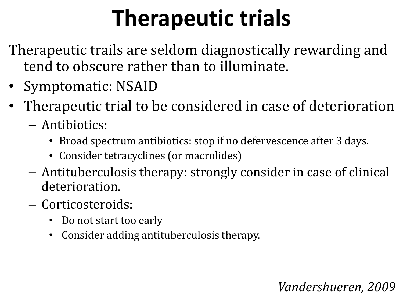# **Therapeutic trials**

Therapeutic trails are seldom diagnostically rewarding and tend to obscure rather than to illuminate.

- Symptomatic: NSAID
- Therapeutic trial to be considered in case of deterioration
	- Antibiotics:
		- Broad spectrum antibiotics: stop if no defervescence after 3 days.
		- Consider tetracyclines (or macrolides)
	- Antituberculosis therapy: strongly consider in case of clinical deterioration.
	- Corticosteroids:
		- Do not start too early
		- Consider adding antituberculosis therapy.

### *Vandershueren, 2009*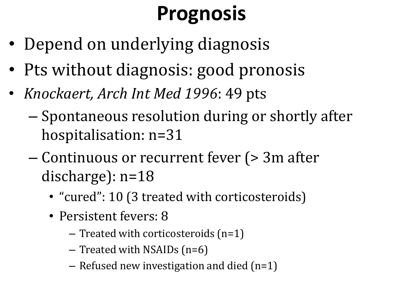### **Prognosis**

- Depend on underlying diagnosis
- Pts without diagnosis: good pronosis
- *Knockaert, Arch Int Med 1996*: 49 pts
	- Spontaneous resolution during or shortly after hospitalisation: n=31
	- Continuous or recurrent fever (> 3m after discharge): n=18
		- "cured": 10 (3 treated with corticosteroids)
		- Persistent fevers: 8
			- Treated with corticosteroids (n=1)
			- Treated with NSAIDs (n=6)
			- Refused new investigation and died (n=1)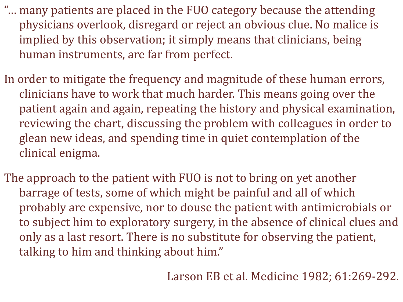- "… many patients are placed in the FUO category because the attending physicians overlook, disregard or reject an obvious clue. No malice is implied by this observation; it simply means that clinicians, being human instruments, are far from perfect.
- In order to mitigate the frequency and magnitude of these human errors, clinicians have to work that much harder. This means going over the patient again and again, repeating the history and physical examination, reviewing the chart, discussing the problem with colleagues in order to glean new ideas, and spending time in quiet contemplation of the clinical enigma.
- The approach to the patient with FUO is not to bring on yet another barrage of tests, some of which might be painful and all of which probably are expensive, nor to douse the patient with antimicrobials or to subject him to exploratory surgery, in the absence of clinical clues and only as a last resort. There is no substitute for observing the patient, talking to him and thinking about him."

Larson EB et al. Medicine 1982; 61:269-292.